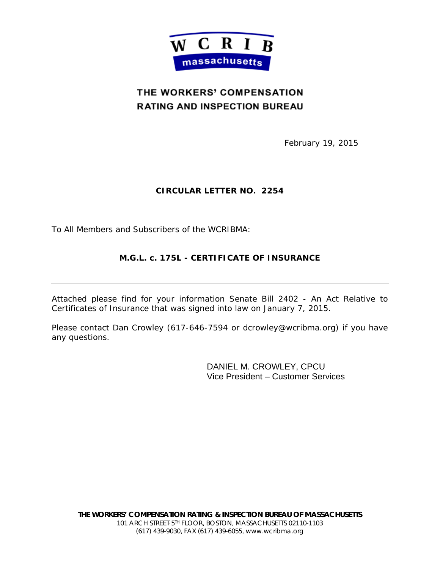

### THE WORKERS' COMPENSATION **RATING AND INSPECTION BUREAU**

February 19, 2015

#### **CIRCULAR LETTER NO. 2254**

To All Members and Subscribers of the WCRIBMA:

### **M.G.L. c. 175L - CERTIFICATE OF INSURANCE**

Attached please find for your information Senate Bill 2402 - An Act Relative to Certificates of Insurance that was signed into law on January 7, 2015.

Please contact Dan Crowley (617-646-7594 or dcrowley@wcribma.org) if you have any questions.

> DANIEL M. CROWLEY, CPCU Vice President – Customer Services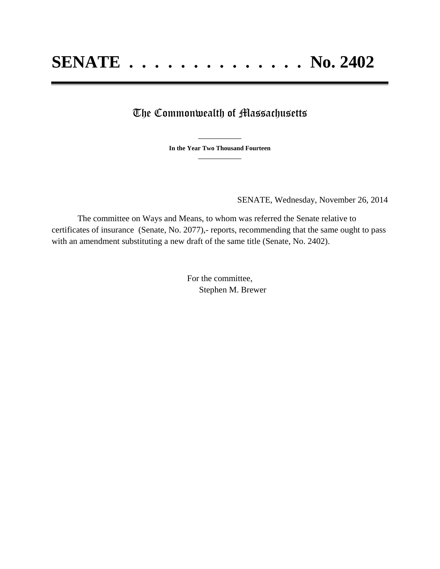# The Commonwealth of Massachusetts

**\_\_\_\_\_\_\_\_\_\_\_\_\_\_\_ In the Year Two Thousand Fourteen \_\_\_\_\_\_\_\_\_\_\_\_\_\_\_**

SENATE, Wednesday, November 26, 2014

The committee on Ways and Means, to whom was referred the Senate relative to certificates of insurance (Senate, No. 2077),- reports, recommending that the same ought to pass with an amendment substituting a new draft of the same title (Senate, No. 2402).

> For the committee, Stephen M. Brewer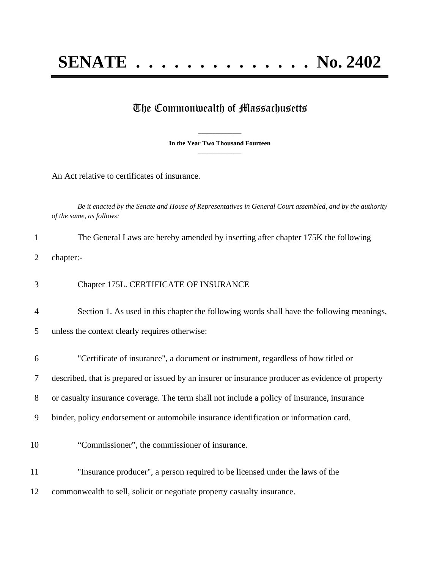# The Commonwealth of Massachusetts

**\_\_\_\_\_\_\_\_\_\_\_\_\_\_\_ In the Year Two Thousand Fourteen \_\_\_\_\_\_\_\_\_\_\_\_\_\_\_**

An Act relative to certificates of insurance.

*Be it enacted by the Senate and House of Representatives in General Court assembled, and by the authority of the same, as follows:*

| $\mathbf{1}$ | The General Laws are hereby amended by inserting after chapter 175K the following                 |
|--------------|---------------------------------------------------------------------------------------------------|
| 2            | chapter:-                                                                                         |
| 3            | Chapter 175L. CERTIFICATE OF INSURANCE                                                            |
| 4            | Section 1. As used in this chapter the following words shall have the following meanings,         |
| 5            | unless the context clearly requires otherwise:                                                    |
| 6            | "Certificate of insurance", a document or instrument, regardless of how titled or                 |
| 7            | described, that is prepared or issued by an insurer or insurance producer as evidence of property |
| 8            | or casualty insurance coverage. The term shall not include a policy of insurance, insurance       |
| 9            | binder, policy endorsement or automobile insurance identification or information card.            |
| 10           | "Commissioner", the commissioner of insurance.                                                    |
| 11           | "Insurance producer", a person required to be licensed under the laws of the                      |
| 12           | commonwealth to sell, solicit or negotiate property casualty insurance.                           |
|              |                                                                                                   |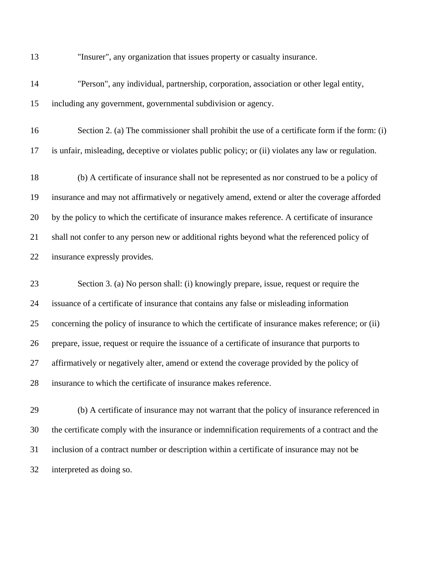"Insurer", any organization that issues property or casualty insurance.

- "Person", any individual, partnership, corporation, association or other legal entity, including any government, governmental subdivision or agency.
- Section 2. (a) The commissioner shall prohibit the use of a certificate form if the form: (i) is unfair, misleading, deceptive or violates public policy; or (ii) violates any law or regulation.

 (b) A certificate of insurance shall not be represented as nor construed to be a policy of insurance and may not affirmatively or negatively amend, extend or alter the coverage afforded by the policy to which the certificate of insurance makes reference. A certificate of insurance shall not confer to any person new or additional rights beyond what the referenced policy of insurance expressly provides.

 Section 3. (a) No person shall: (i) knowingly prepare, issue, request or require the issuance of a certificate of insurance that contains any false or misleading information concerning the policy of insurance to which the certificate of insurance makes reference; or (ii) prepare, issue, request or require the issuance of a certificate of insurance that purports to affirmatively or negatively alter, amend or extend the coverage provided by the policy of insurance to which the certificate of insurance makes reference.

 (b) A certificate of insurance may not warrant that the policy of insurance referenced in the certificate comply with the insurance or indemnification requirements of a contract and the inclusion of a contract number or description within a certificate of insurance may not be interpreted as doing so.